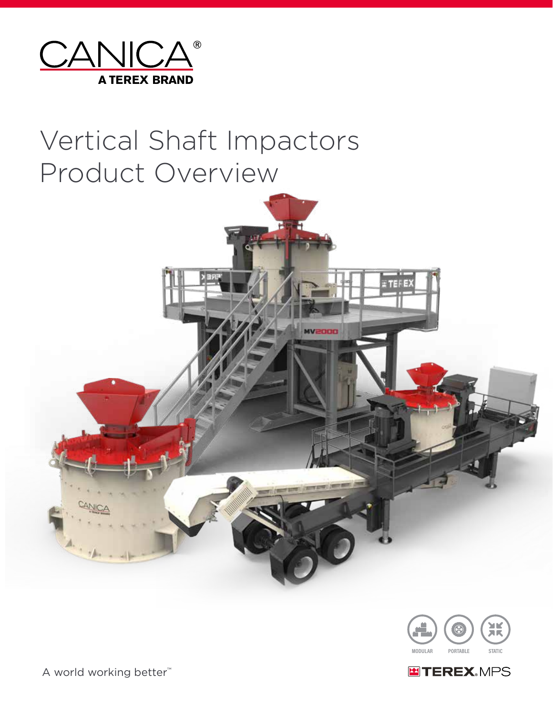

# Vertical Shaft Impactors Product Overview





**ENTEREX.MPS** 

A world working better™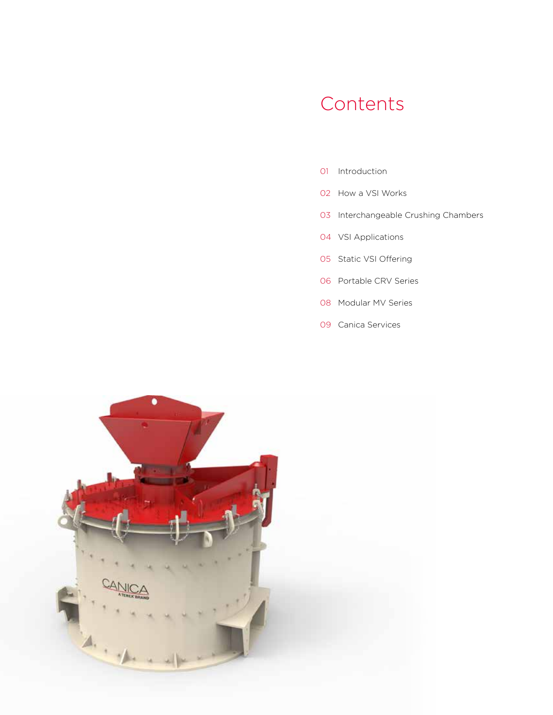## Contents

- Introduction
- How a VSI Works
- Interchangeable Crushing Chambers
- VSI Applications
- Static VSI Offering
- Portable CRV Series
- Modular MV Series
- Canica Services

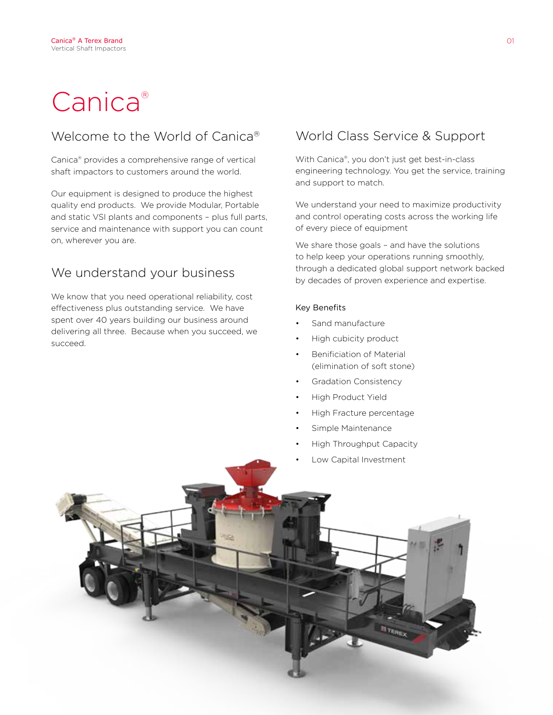# Canica®

### Welcome to the World of Canica®

Canica® provides a comprehensive range of vertical shaft impactors to customers around the world.

Our equipment is designed to produce the highest quality end products. We provide Modular, Portable and static VSI plants and components – plus full parts, service and maintenance with support you can count on, wherever you are.

### We understand your business

We know that you need operational reliability, cost effectiveness plus outstanding service. We have spent over 40 years building our business around delivering all three. Because when you succeed, we succeed.

### World Class Service & Support

With Canica®, you don't just get best-in-class engineering technology. You get the service, training and support to match.

We understand your need to maximize productivity and control operating costs across the working life of every piece of equipment

We share those goals - and have the solutions to help keep your operations running smoothly, through a dedicated global support network backed by decades of proven experience and expertise.

### Key Benefits

- Sand manufacture
- High cubicity product
- Benificiation of Material (elimination of soft stone)
- Gradation Consistency
- High Product Yield
- High Fracture percentage
- Simple Maintenance
- High Throughput Capacity
- Low Capital Investment

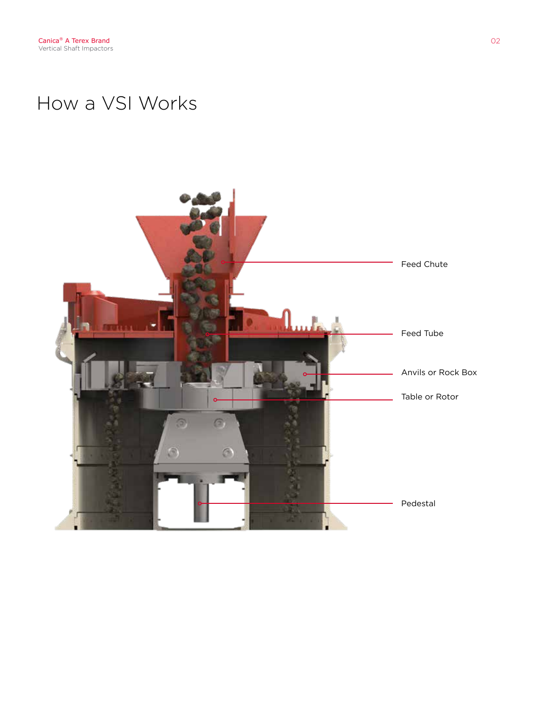## How a VSI Works

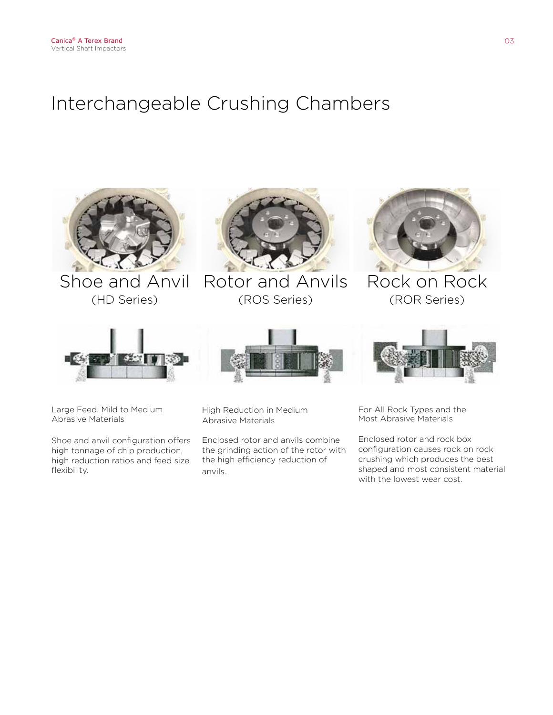## Interchangeable Crushing Chambers



(HD Series)



Shoe and Anvil Rotor and Anvils (ROS Series)



Rock on Rock (ROR Series)







Large Feed, Mild to Medium Abrasive Materials

Shoe and anvil configuration offers high tonnage of chip production, high reduction ratios and feed size flexibility.

High Reduction in Medium Abrasive Materials

Enclosed rotor and anvils combine the grinding action of the rotor with the high efficiency reduction of anvils.

For All Rock Types and the Most Abrasive Materials

Enclosed rotor and rock box configuration causes rock on rock crushing which produces the best shaped and most consistent material with the lowest wear cost.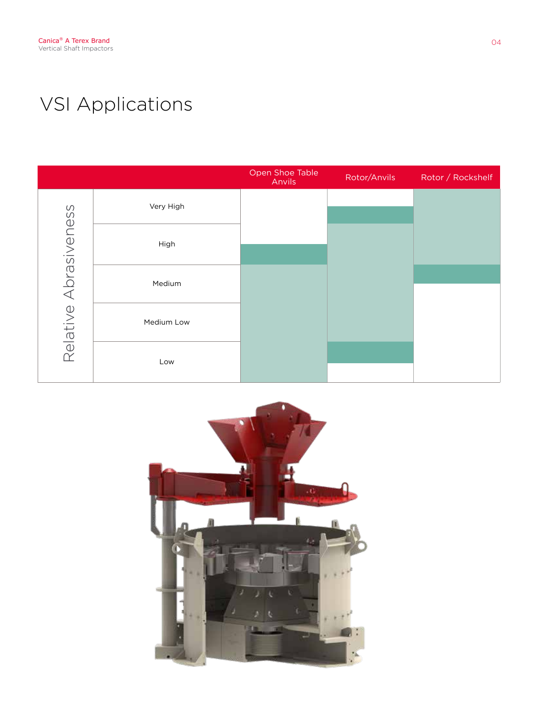## VSI Applications

|                       |            | Open Shoe Table<br>Anvils | Rotor/Anvils | Rotor / Rockshelf |
|-----------------------|------------|---------------------------|--------------|-------------------|
| Relative Abrasiveness | Very High  |                           |              |                   |
|                       | High       |                           |              |                   |
|                       | Medium     |                           |              |                   |
|                       | Medium Low |                           |              |                   |
|                       | Low        |                           |              |                   |

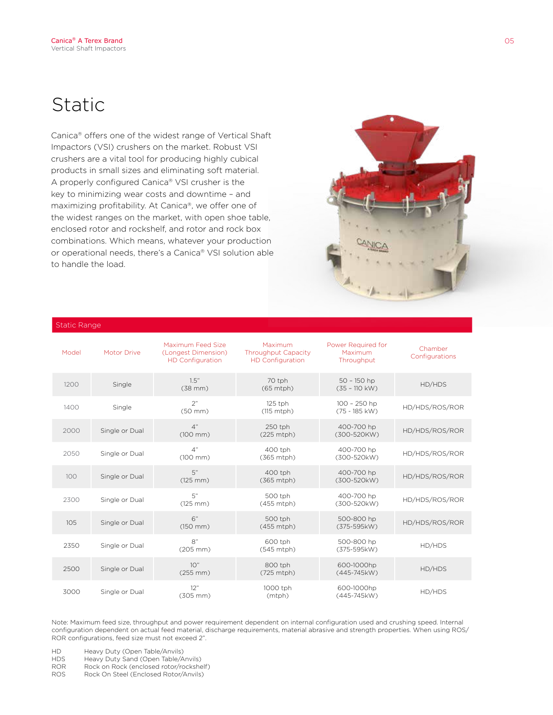## Static

Canica® offers one of the widest range of Vertical Shaft Impactors (VSI) crushers on the market. Robust VSI crushers are a vital tool for producing highly cubical products in small sizes and eliminating soft material. A properly configured Canica® VSI crusher is the key to minimizing wear costs and downtime – and maximizing profitability. At Canica®, we offer one of the widest ranges on the market, with open shoe table, enclosed rotor and rockshelf, and rotor and rock box combinations. Which means, whatever your production or operational needs, there's a Canica® VSI solution able to handle the load.



#### Static Range

| Model | <b>Motor Drive</b> | Maximum Feed Size<br>(Longest Dimension)<br><b>HD</b> Configuration | Maximum<br><b>Throughput Capacity</b><br><b>HD</b> Configuration | Power Required for<br>Maximum<br>Throughput | Chamber<br>Configurations |
|-------|--------------------|---------------------------------------------------------------------|------------------------------------------------------------------|---------------------------------------------|---------------------------|
| 1200  | Single             | 1.5"<br>$(38$ mm $)$                                                | 70 tph<br>$(65$ mtph $)$                                         | $50 - 150$ hp<br>$(35 - 110$ kW)            | HD/HDS                    |
| 1400  | Single             | 2"<br>$(50$ mm $)$                                                  | 125 tph<br>$(115 \text{ mtph})$                                  | 100 - 250 hp<br>$(75 - 185$ kW)             | HD/HDS/ROS/ROR            |
| 2000  | Single or Dual     | 4"<br>$(100 \, \text{mm})$                                          | 250 tph<br>(225 mtph)                                            | 400-700 hp<br>(300-520KW)                   | HD/HDS/ROS/ROR            |
| 2050  | Single or Dual     | 4"<br>$(100 \, \text{mm})$                                          | 400 tph<br>(365 mtph)                                            | 400-700 hp<br>(300-520kW)                   | HD/HDS/ROS/ROR            |
| 100   | Single or Dual     | 5"<br>$(125 \, \text{mm})$                                          | 400 tph<br>(365 mtph)                                            | 400-700 hp<br>(300-520kW)                   | HD/HDS/ROS/ROR            |
| 2300  | Single or Dual     | 5"<br>$(125 \, \text{mm})$                                          | 500 tph<br>(455 mtph)                                            | 400-700 hp<br>(300-520kW)                   | HD/HDS/ROS/ROR            |
| 105   | Single or Dual     | 6"<br>$(150 \, \text{mm})$                                          | 500 tph<br>(455 mtph)                                            | 500-800 hp<br>(375-595kW)                   | HD/HDS/ROS/ROR            |
| 2350  | Single or Dual     | 8"<br>$(205 \, \text{mm})$                                          | 600 tph<br>$(545$ mtph $)$                                       | 500-800 hp<br>(375-595kW)                   | HD/HDS                    |
| 2500  | Single or Dual     | 10"<br>$(255 \, \text{mm})$                                         | 800 tph<br>(725 mtph)                                            | 600-1000hp<br>(445-745kW)                   | HD/HDS                    |
| 3000  | Single or Dual     | 12"<br>$(305 \, \text{mm})$                                         | 1000 tph<br>(mtph)                                               | 600-1000hp<br>(445-745kW)                   | HD/HDS                    |

Note: Maximum feed size, throughput and power requirement dependent on internal configuration used and crushing speed. Internal configuration dependent on actual feed material, discharge requirements, material abrasive and strength properties. When using ROS/ ROR configurations, feed size must not exceed 2".

- HD Heavy Duty (Open Table/Anvils)<br>HDS Heavy Duty Sand (Open Table/A
- Heavy Duty Sand (Open Table/Anvils)
- ROR Rock on Rock (enclosed rotor/rockshelf)<br>ROS Rock On Steel (Enclosed Rotor/Anvils)
- Rock On Steel (Enclosed Rotor/Anvils)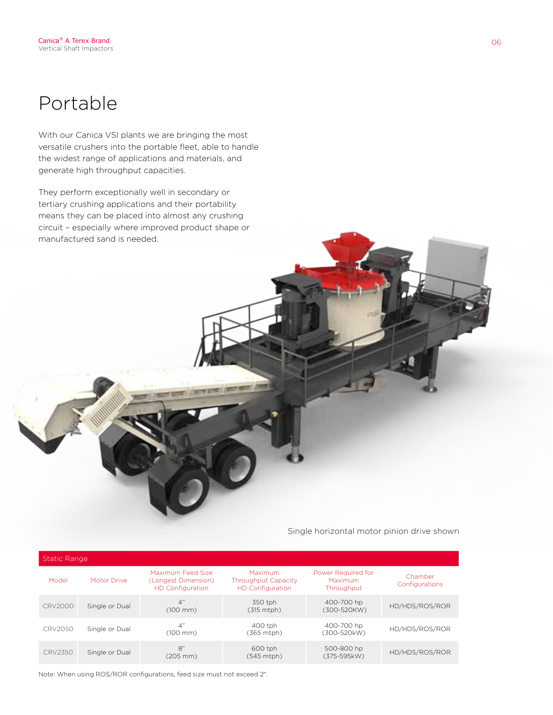## Portable

With our Canica VSI plants we are bringing the most versatile crushers into the portable fleet, able to handle the widest range of applications and materials, and generate high throughput capacities.

They perform exceptionally well in secondary or tertiary crushing applications and their portability means they can be placed into almost any crushing circuit – especially where improved product shape or manufactured sand is needed.

Single horizontal motor pinion drive shown

| <b>Static Range</b> |                |                                                                     |                                                                  |                                             |                           |  |  |  |
|---------------------|----------------|---------------------------------------------------------------------|------------------------------------------------------------------|---------------------------------------------|---------------------------|--|--|--|
| Model               | Motor Drive    | Maximum Feed Size<br>(Longest Dimension)<br><b>HD</b> Configuration | Maximum<br><b>Throughput Capacity</b><br><b>HD Configuration</b> | Power Required for<br>Maximum<br>Throughput | Chamber<br>Configurations |  |  |  |
| CRV2000             | Single or Dual | 4"<br>$(100 \, \text{mm})$                                          | 350 tph<br>(315 mtph)                                            | 400-700 hp<br>(300-520KW)                   | HD/HDS/ROS/ROR            |  |  |  |
| CRV2050             | Single or Dual | 4"<br>$(100 \, \text{mm})$                                          | 400 tph<br>(365 mtph)                                            | 400-700 hp<br>(300-520kW)                   | HD/HDS/ROS/ROR            |  |  |  |
| CRV2350             | Single or Dual | 8"<br>$(205 \, \text{mm})$                                          | 600 tph<br>(545 mtph)                                            | 500-800 hp<br>(375-595kW)                   | HD/HDS/ROS/ROR            |  |  |  |

Note: When using ROS/ROR configurations, feed size must not exceed 2".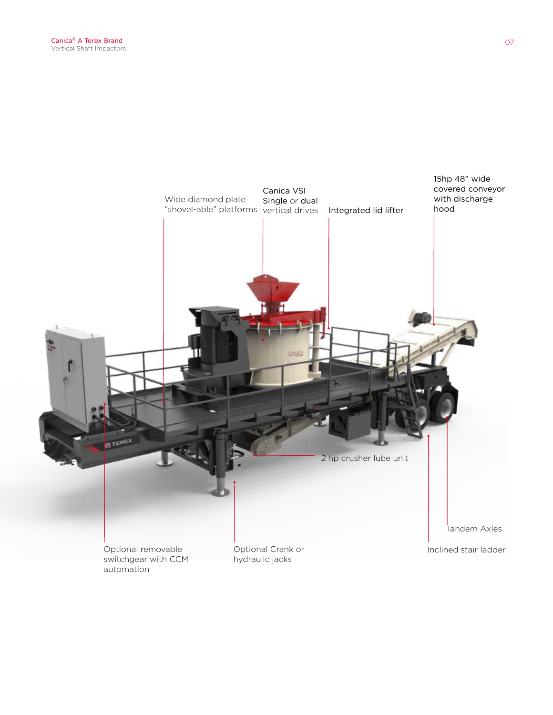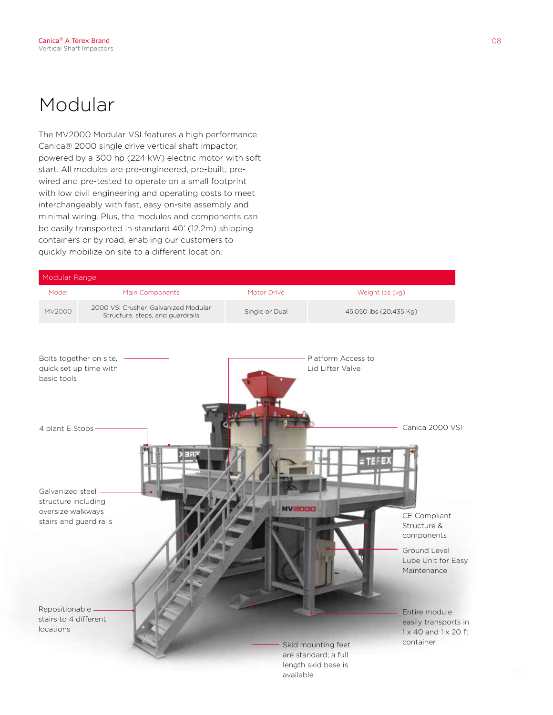## Modular

The MV2000 Modular VSI features a high performance Canica® 2000 single drive vertical shaft impactor, powered by a 300 hp (224 kW) electric motor with soft start. All modules are pre-engineered, pre-built, prewired and pre-tested to operate on a small footprint with low civil engineering and operating costs to meet interchangeably with fast, easy on-site assembly and minimal wiring. Plus, the modules and components can be easily transported in standard 40' (12.2m) shipping containers or by road, enabling our customers to quickly mobilize on site to a different location.

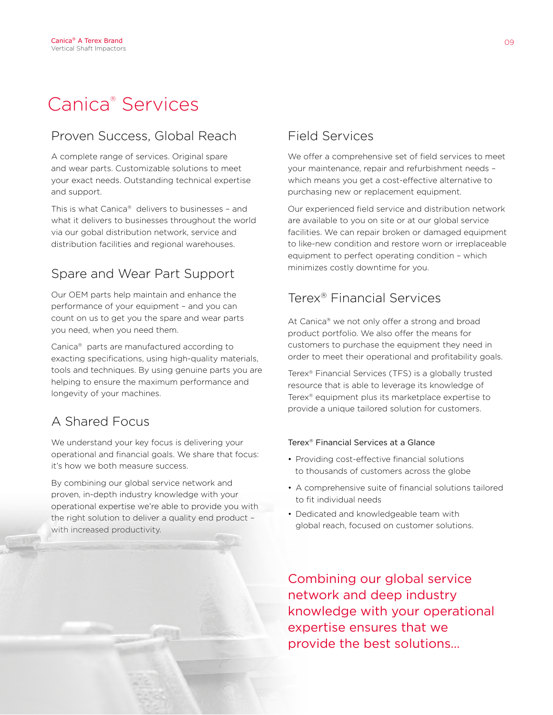## Canica® Services

## Proven Success, Global Reach

A complete range of services. Original spare and wear parts. Customizable solutions to meet your exact needs. Outstanding technical expertise and support.

This is what Canica® delivers to businesses – and what it delivers to businesses throughout the world via our gobal distribution network, service and distribution facilities and regional warehouses.

### Spare and Wear Part Support

Our OEM parts help maintain and enhance the performance of your equipment – and you can count on us to get you the spare and wear parts you need, when you need them.

Canica® parts are manufactured according to exacting specifications, using high-quality materials, tools and techniques. By using genuine parts you are helping to ensure the maximum performance and longevity of your machines.

### A Shared Focus

We understand your key focus is delivering your operational and financial goals. We share that focus: it's how we both measure success.

By combining our global service network and proven, in-depth industry knowledge with your operational expertise we're able to provide you with the right solution to deliver a quality end product – with increased productivity.

## Field Services

We offer a comprehensive set of field services to meet your maintenance, repair and refurbishment needs – which means you get a cost-effective alternative to purchasing new or replacement equipment.

Our experienced field service and distribution network are available to you on site or at our global service facilities. We can repair broken or damaged equipment to like-new condition and restore worn or irreplaceable equipment to perfect operating condition – which minimizes costly downtime for you.

### Terex® Financial Services

At Canica® we not only offer a strong and broad product portfolio. We also offer the means for customers to purchase the equipment they need in order to meet their operational and profitability goals.

Terex® Financial Services (TFS) is a globally trusted resource that is able to leverage its knowledge of Terex® equipment plus its marketplace expertise to provide a unique tailored solution for customers.

### Terex® Financial Services at a Glance

- Providing cost-effective financial solutions to thousands of customers across the globe
- A comprehensive suite of financial solutions tailored to fit individual needs
- Dedicated and knowledgeable team with global reach, focused on customer solutions.

Combining our global service network and deep industry knowledge with your operational expertise ensures that we provide the best solutions…